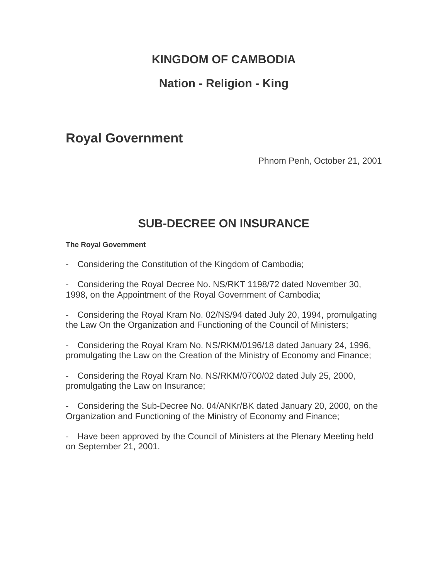# **KINGDOM OF CAMBODIA**

# **Nation - Religion - King**

# **Royal Government**

Phnom Penh, October 21, 2001

# **SUB-DECREE ON INSURANCE**

### **The Royal Government**

- Considering the Constitution of the Kingdom of Cambodia;

- Considering the Royal Decree No. NS/RKT 1198/72 dated November 30, 1998, on the Appointment of the Royal Government of Cambodia;

- Considering the Royal Kram No. 02/NS/94 dated July 20, 1994, promulgating the Law On the Organization and Functioning of the Council of Ministers;

- Considering the Royal Kram No. NS/RKM/0196/18 dated January 24, 1996, promulgating the Law on the Creation of the Ministry of Economy and Finance;

- Considering the Royal Kram No. NS/RKM/0700/02 dated July 25, 2000, promulgating the Law on Insurance;

- Considering the Sub-Decree No. 04/ANKr/BK dated January 20, 2000, on the Organization and Functioning of the Ministry of Economy and Finance;

- Have been approved by the Council of Ministers at the Plenary Meeting held on September 21, 2001.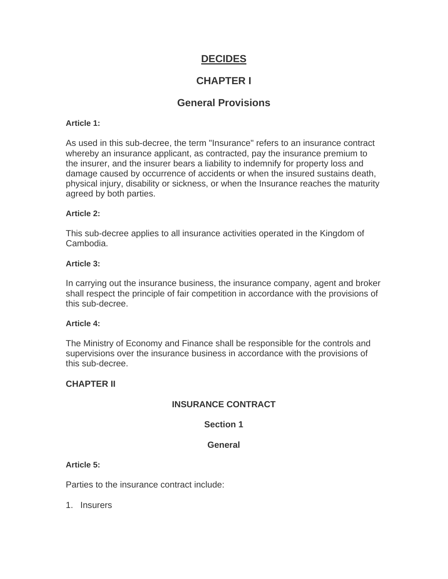# **DECIDES**

# **CHAPTER I**

# **General Provisions**

### **Article 1:**

As used in this sub-decree, the term "Insurance" refers to an insurance contract whereby an insurance applicant, as contracted, pay the insurance premium to the insurer, and the insurer bears a liability to indemnify for property loss and damage caused by occurrence of accidents or when the insured sustains death, physical injury, disability or sickness, or when the Insurance reaches the maturity agreed by both parties.

### **Article 2:**

This sub-decree applies to all insurance activities operated in the Kingdom of Cambodia.

### **Article 3:**

In carrying out the insurance business, the insurance company, agent and broker shall respect the principle of fair competition in accordance with the provisions of this sub-decree.

## **Article 4:**

The Ministry of Economy and Finance shall be responsible for the controls and supervisions over the insurance business in accordance with the provisions of this sub-decree.

# **CHAPTER II**

# **INSURANCE CONTRACT**

# **Section 1**

# **General**

### **Article 5:**

Parties to the insurance contract include:

1. Insurers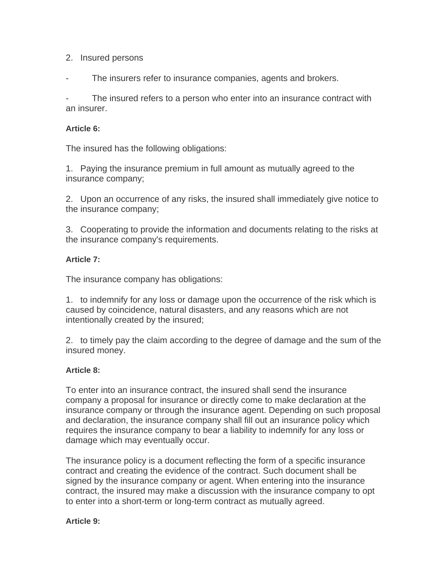# 2. Insured persons

The insurers refer to insurance companies, agents and brokers.

The insured refers to a person who enter into an insurance contract with an insurer.

# **Article 6:**

The insured has the following obligations:

1. Paying the insurance premium in full amount as mutually agreed to the insurance company;

2. Upon an occurrence of any risks, the insured shall immediately give notice to the insurance company;

3. Cooperating to provide the information and documents relating to the risks at the insurance company's requirements.

# **Article 7:**

The insurance company has obligations:

1. to indemnify for any loss or damage upon the occurrence of the risk which is caused by coincidence, natural disasters, and any reasons which are not intentionally created by the insured;

2. to timely pay the claim according to the degree of damage and the sum of the insured money.

# **Article 8:**

To enter into an insurance contract, the insured shall send the insurance company a proposal for insurance or directly come to make declaration at the insurance company or through the insurance agent. Depending on such proposal and declaration, the insurance company shall fill out an insurance policy which requires the insurance company to bear a liability to indemnify for any loss or damage which may eventually occur.

The insurance policy is a document reflecting the form of a specific insurance contract and creating the evidence of the contract. Such document shall be signed by the insurance company or agent. When entering into the insurance contract, the insured may make a discussion with the insurance company to opt to enter into a short-term or long-term contract as mutually agreed.

# **Article 9:**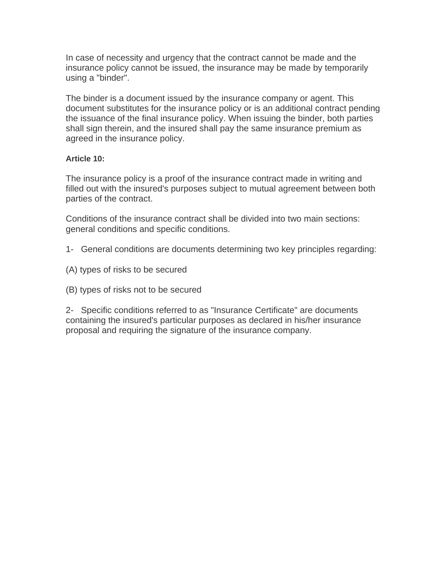In case of necessity and urgency that the contract cannot be made and the insurance policy cannot be issued, the insurance may be made by temporarily using a "binder".

The binder is a document issued by the insurance company or agent. This document substitutes for the insurance policy or is an additional contract pending the issuance of the final insurance policy. When issuing the binder, both parties shall sign therein, and the insured shall pay the same insurance premium as agreed in the insurance policy.

### **Article 10:**

The insurance policy is a proof of the insurance contract made in writing and filled out with the insured's purposes subject to mutual agreement between both parties of the contract.

Conditions of the insurance contract shall be divided into two main sections: general conditions and specific conditions.

- 1- General conditions are documents determining two key principles regarding:
- (A) types of risks to be secured
- (B) types of risks not to be secured

2- Specific conditions referred to as "Insurance Certificate" are documents containing the insured's particular purposes as declared in his/her insurance proposal and requiring the signature of the insurance company.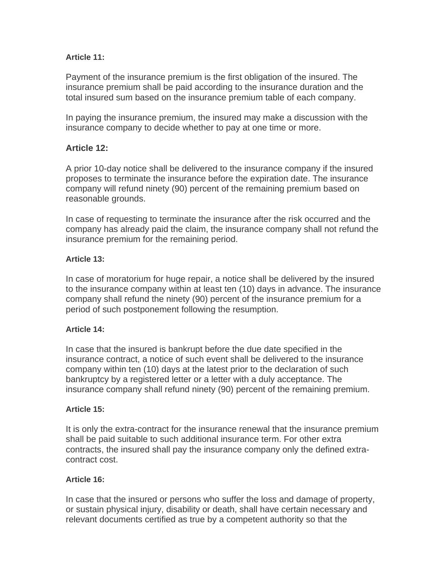# **Article 11:**

Payment of the insurance premium is the first obligation of the insured. The insurance premium shall be paid according to the insurance duration and the total insured sum based on the insurance premium table of each company.

In paying the insurance premium, the insured may make a discussion with the insurance company to decide whether to pay at one time or more.

# **Article 12:**

A prior 10-day notice shall be delivered to the insurance company if the insured proposes to terminate the insurance before the expiration date. The insurance company will refund ninety (90) percent of the remaining premium based on reasonable grounds.

In case of requesting to terminate the insurance after the risk occurred and the company has already paid the claim, the insurance company shall not refund the insurance premium for the remaining period.

# **Article 13:**

In case of moratorium for huge repair, a notice shall be delivered by the insured to the insurance company within at least ten (10) days in advance. The insurance company shall refund the ninety (90) percent of the insurance premium for a period of such postponement following the resumption.

# **Article 14:**

In case that the insured is bankrupt before the due date specified in the insurance contract, a notice of such event shall be delivered to the insurance company within ten (10) days at the latest prior to the declaration of such bankruptcy by a registered letter or a letter with a duly acceptance. The insurance company shall refund ninety (90) percent of the remaining premium.

# **Article 15:**

It is only the extra-contract for the insurance renewal that the insurance premium shall be paid suitable to such additional insurance term. For other extra contracts, the insured shall pay the insurance company only the defined extracontract cost.

# **Article 16:**

In case that the insured or persons who suffer the loss and damage of property, or sustain physical injury, disability or death, shall have certain necessary and relevant documents certified as true by a competent authority so that the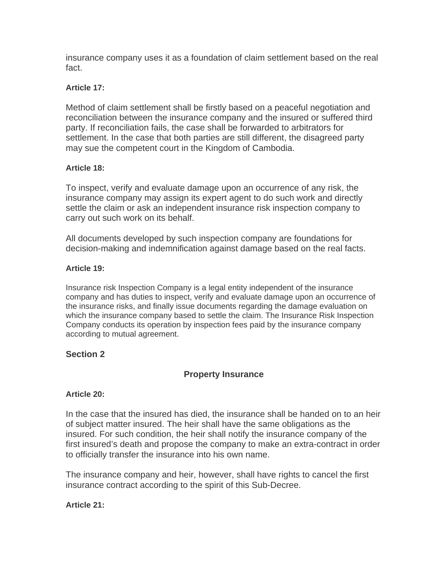insurance company uses it as a foundation of claim settlement based on the real fact.

## **Article 17:**

Method of claim settlement shall be firstly based on a peaceful negotiation and reconciliation between the insurance company and the insured or suffered third party. If reconciliation fails, the case shall be forwarded to arbitrators for settlement. In the case that both parties are still different, the disagreed party may sue the competent court in the Kingdom of Cambodia.

### **Article 18:**

To inspect, verify and evaluate damage upon an occurrence of any risk, the insurance company may assign its expert agent to do such work and directly settle the claim or ask an independent insurance risk inspection company to carry out such work on its behalf.

All documents developed by such inspection company are foundations for decision-making and indemnification against damage based on the real facts.

### **Article 19:**

Insurance risk Inspection Company is a legal entity independent of the insurance company and has duties to inspect, verify and evaluate damage upon an occurrence of the insurance risks, and finally issue documents regarding the damage evaluation on which the insurance company based to settle the claim. The Insurance Risk Inspection Company conducts its operation by inspection fees paid by the insurance company according to mutual agreement.

# **Section 2**

# **Property Insurance**

### **Article 20:**

In the case that the insured has died, the insurance shall be handed on to an heir of subject matter insured. The heir shall have the same obligations as the insured. For such condition, the heir shall notify the insurance company of the first insured's death and propose the company to make an extra-contract in order to officially transfer the insurance into his own name.

The insurance company and heir, however, shall have rights to cancel the first insurance contract according to the spirit of this Sub-Decree.

# **Article 21:**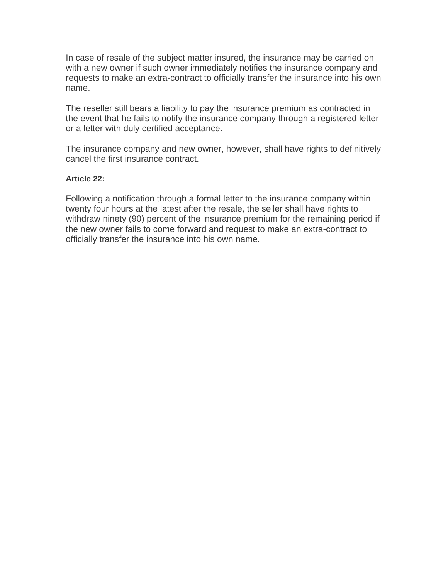In case of resale of the subject matter insured, the insurance may be carried on with a new owner if such owner immediately notifies the insurance company and requests to make an extra-contract to officially transfer the insurance into his own name.

The reseller still bears a liability to pay the insurance premium as contracted in the event that he fails to notify the insurance company through a registered letter or a letter with duly certified acceptance.

The insurance company and new owner, however, shall have rights to definitively cancel the first insurance contract.

### **Article 22:**

Following a notification through a formal letter to the insurance company within twenty four hours at the latest after the resale, the seller shall have rights to withdraw ninety (90) percent of the insurance premium for the remaining period if the new owner fails to come forward and request to make an extra-contract to officially transfer the insurance into his own name.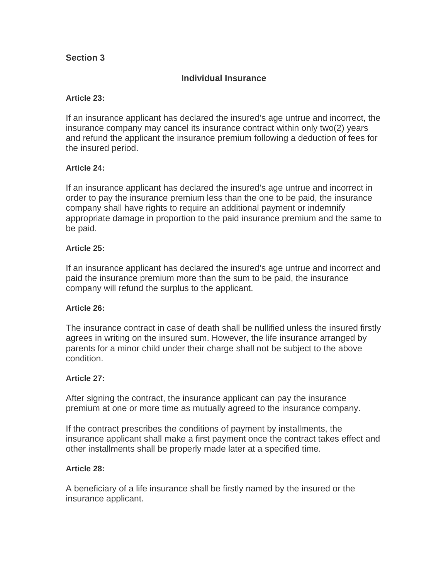# **Section 3**

# **Individual Insurance**

### **Article 23:**

If an insurance applicant has declared the insured's age untrue and incorrect, the insurance company may cancel its insurance contract within only two(2) years and refund the applicant the insurance premium following a deduction of fees for the insured period.

### **Article 24:**

If an insurance applicant has declared the insured's age untrue and incorrect in order to pay the insurance premium less than the one to be paid, the insurance company shall have rights to require an additional payment or indemnify appropriate damage in proportion to the paid insurance premium and the same to be paid.

### **Article 25:**

If an insurance applicant has declared the insured's age untrue and incorrect and paid the insurance premium more than the sum to be paid, the insurance company will refund the surplus to the applicant.

### **Article 26:**

The insurance contract in case of death shall be nullified unless the insured firstly agrees in writing on the insured sum. However, the life insurance arranged by parents for a minor child under their charge shall not be subject to the above condition.

### **Article 27:**

After signing the contract, the insurance applicant can pay the insurance premium at one or more time as mutually agreed to the insurance company.

If the contract prescribes the conditions of payment by installments, the insurance applicant shall make a first payment once the contract takes effect and other installments shall be properly made later at a specified time.

### **Article 28:**

A beneficiary of a life insurance shall be firstly named by the insured or the insurance applicant.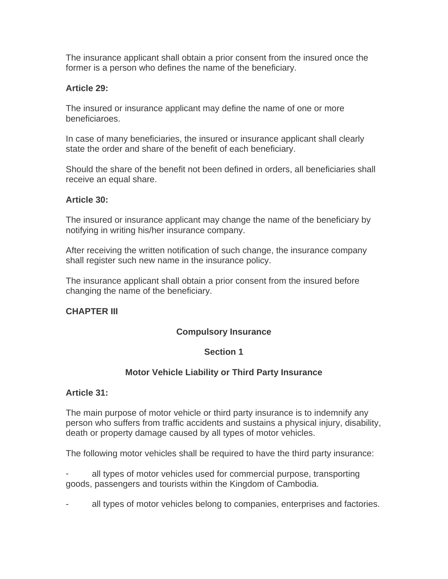The insurance applicant shall obtain a prior consent from the insured once the former is a person who defines the name of the beneficiary.

# **Article 29:**

The insured or insurance applicant may define the name of one or more beneficiaroes.

In case of many beneficiaries, the insured or insurance applicant shall clearly state the order and share of the benefit of each beneficiary.

Should the share of the benefit not been defined in orders, all beneficiaries shall receive an equal share.

# **Article 30:**

The insured or insurance applicant may change the name of the beneficiary by notifying in writing his/her insurance company.

After receiving the written notification of such change, the insurance company shall register such new name in the insurance policy.

The insurance applicant shall obtain a prior consent from the insured before changing the name of the beneficiary.

# **CHAPTER III**

# **Compulsory Insurance**

# **Section 1**

# **Motor Vehicle Liability or Third Party Insurance**

# **Article 31:**

The main purpose of motor vehicle or third party insurance is to indemnify any person who suffers from traffic accidents and sustains a physical injury, disability, death or property damage caused by all types of motor vehicles.

The following motor vehicles shall be required to have the third party insurance:

all types of motor vehicles used for commercial purpose, transporting goods, passengers and tourists within the Kingdom of Cambodia.

all types of motor vehicles belong to companies, enterprises and factories.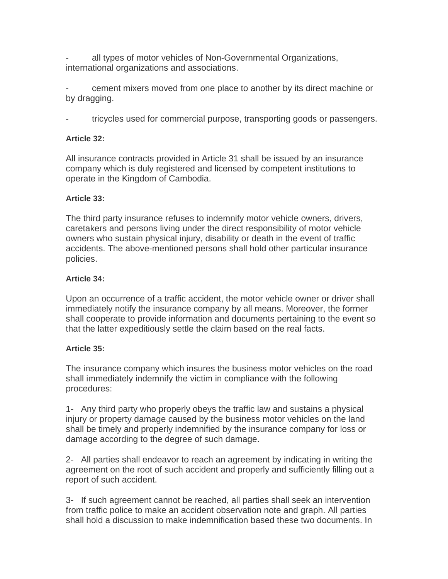all types of motor vehicles of Non-Governmental Organizations, international organizations and associations.

cement mixers moved from one place to another by its direct machine or by dragging.

- tricycles used for commercial purpose, transporting goods or passengers.

# **Article 32:**

All insurance contracts provided in Article 31 shall be issued by an insurance company which is duly registered and licensed by competent institutions to operate in the Kingdom of Cambodia.

# **Article 33:**

The third party insurance refuses to indemnify motor vehicle owners, drivers, caretakers and persons living under the direct responsibility of motor vehicle owners who sustain physical injury, disability or death in the event of traffic accidents. The above-mentioned persons shall hold other particular insurance policies.

# **Article 34:**

Upon an occurrence of a traffic accident, the motor vehicle owner or driver shall immediately notify the insurance company by all means. Moreover, the former shall cooperate to provide information and documents pertaining to the event so that the latter expeditiously settle the claim based on the real facts.

# **Article 35:**

The insurance company which insures the business motor vehicles on the road shall immediately indemnify the victim in compliance with the following procedures:

1- Any third party who properly obeys the traffic law and sustains a physical injury or property damage caused by the business motor vehicles on the land shall be timely and properly indemnified by the insurance company for loss or damage according to the degree of such damage.

2- All parties shall endeavor to reach an agreement by indicating in writing the agreement on the root of such accident and properly and sufficiently filling out a report of such accident.

3- If such agreement cannot be reached, all parties shall seek an intervention from traffic police to make an accident observation note and graph. All parties shall hold a discussion to make indemnification based these two documents. In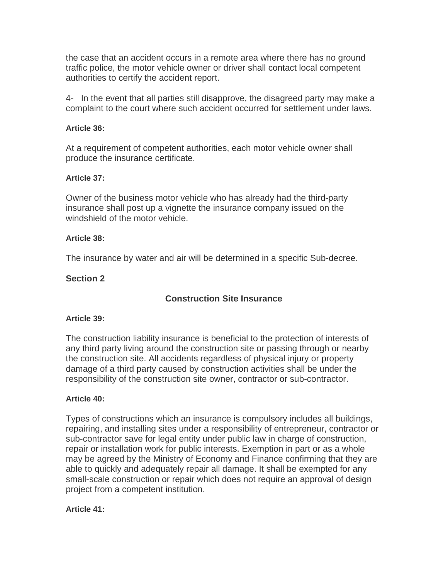the case that an accident occurs in a remote area where there has no ground traffic police, the motor vehicle owner or driver shall contact local competent authorities to certify the accident report.

4- In the event that all parties still disapprove, the disagreed party may make a complaint to the court where such accident occurred for settlement under laws.

### **Article 36:**

At a requirement of competent authorities, each motor vehicle owner shall produce the insurance certificate.

### **Article 37:**

Owner of the business motor vehicle who has already had the third-party insurance shall post up a vignette the insurance company issued on the windshield of the motor vehicle.

### **Article 38:**

The insurance by water and air will be determined in a specific Sub-decree.

# **Section 2**

# **Construction Site Insurance**

### **Article 39:**

The construction liability insurance is beneficial to the protection of interests of any third party living around the construction site or passing through or nearby the construction site. All accidents regardless of physical injury or property damage of a third party caused by construction activities shall be under the responsibility of the construction site owner, contractor or sub-contractor.

### **Article 40:**

Types of constructions which an insurance is compulsory includes all buildings, repairing, and installing sites under a responsibility of entrepreneur, contractor or sub-contractor save for legal entity under public law in charge of construction, repair or installation work for public interests. Exemption in part or as a whole may be agreed by the Ministry of Economy and Finance confirming that they are able to quickly and adequately repair all damage. It shall be exempted for any small-scale construction or repair which does not require an approval of design project from a competent institution.

### **Article 41:**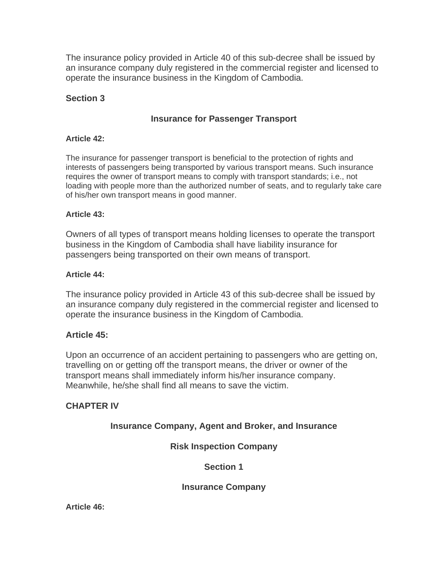The insurance policy provided in Article 40 of this sub-decree shall be issued by an insurance company duly registered in the commercial register and licensed to operate the insurance business in the Kingdom of Cambodia.

# **Section 3**

# **Insurance for Passenger Transport**

## **Article 42:**

The insurance for passenger transport is beneficial to the protection of rights and interests of passengers being transported by various transport means. Such insurance requires the owner of transport means to comply with transport standards; i.e., not loading with people more than the authorized number of seats, and to regularly take care of his/her own transport means in good manner.

### **Article 43:**

Owners of all types of transport means holding licenses to operate the transport business in the Kingdom of Cambodia shall have liability insurance for passengers being transported on their own means of transport.

### **Article 44:**

The insurance policy provided in Article 43 of this sub-decree shall be issued by an insurance company duly registered in the commercial register and licensed to operate the insurance business in the Kingdom of Cambodia.

# **Article 45:**

Upon an occurrence of an accident pertaining to passengers who are getting on, travelling on or getting off the transport means, the driver or owner of the transport means shall immediately inform his/her insurance company. Meanwhile, he/she shall find all means to save the victim.

# **CHAPTER IV**

# **Insurance Company, Agent and Broker, and Insurance**

# **Risk Inspection Company**

# **Section 1**

**Insurance Company**

**Article 46:**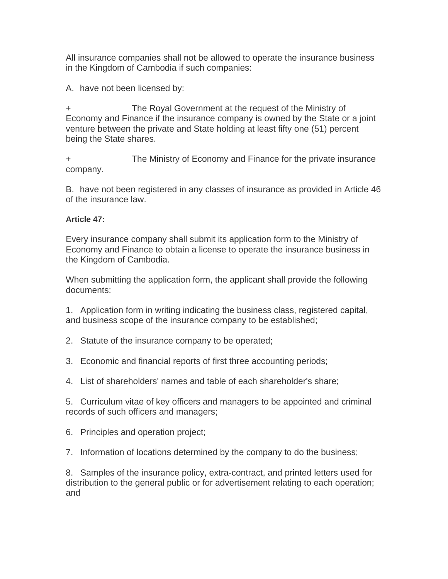All insurance companies shall not be allowed to operate the insurance business in the Kingdom of Cambodia if such companies:

A. have not been licensed by:

The Royal Government at the request of the Ministry of Economy and Finance if the insurance company is owned by the State or a joint venture between the private and State holding at least fifty one (51) percent being the State shares.

+ The Ministry of Economy and Finance for the private insurance company.

B. have not been registered in any classes of insurance as provided in Article 46 of the insurance law.

# **Article 47:**

Every insurance company shall submit its application form to the Ministry of Economy and Finance to obtain a license to operate the insurance business in the Kingdom of Cambodia.

When submitting the application form, the applicant shall provide the following documents:

1. Application form in writing indicating the business class, registered capital, and business scope of the insurance company to be established;

2. Statute of the insurance company to be operated;

3. Economic and financial reports of first three accounting periods;

4. List of shareholders' names and table of each shareholder's share;

5. Curriculum vitae of key officers and managers to be appointed and criminal records of such officers and managers;

6. Principles and operation project;

7. Information of locations determined by the company to do the business;

8. Samples of the insurance policy, extra-contract, and printed letters used for distribution to the general public or for advertisement relating to each operation; and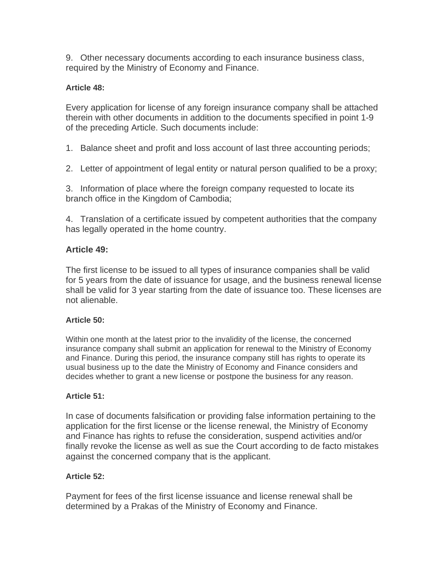9. Other necessary documents according to each insurance business class, required by the Ministry of Economy and Finance.

# **Article 48:**

Every application for license of any foreign insurance company shall be attached therein with other documents in addition to the documents specified in point 1-9 of the preceding Article. Such documents include:

1. Balance sheet and profit and loss account of last three accounting periods;

2. Letter of appointment of legal entity or natural person qualified to be a proxy;

3. Information of place where the foreign company requested to locate its branch office in the Kingdom of Cambodia;

4. Translation of a certificate issued by competent authorities that the company has legally operated in the home country.

# **Article 49:**

The first license to be issued to all types of insurance companies shall be valid for 5 years from the date of issuance for usage, and the business renewal license shall be valid for 3 year starting from the date of issuance too. These licenses are not alienable.

# **Article 50:**

Within one month at the latest prior to the invalidity of the license, the concerned insurance company shall submit an application for renewal to the Ministry of Economy and Finance. During this period, the insurance company still has rights to operate its usual business up to the date the Ministry of Economy and Finance considers and decides whether to grant a new license or postpone the business for any reason.

# **Article 51:**

In case of documents falsification or providing false information pertaining to the application for the first license or the license renewal, the Ministry of Economy and Finance has rights to refuse the consideration, suspend activities and/or finally revoke the license as well as sue the Court according to de facto mistakes against the concerned company that is the applicant.

# **Article 52:**

Payment for fees of the first license issuance and license renewal shall be determined by a Prakas of the Ministry of Economy and Finance.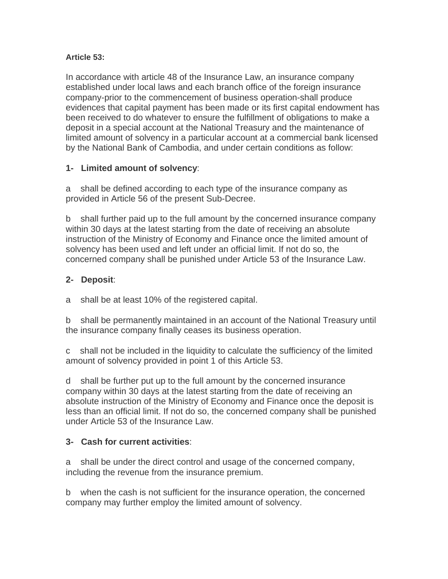# **Article 53:**

In accordance with article 48 of the Insurance Law, an insurance company established under local laws and each branch office of the foreign insurance company-prior to the commencement of business operation-shall produce evidences that capital payment has been made or its first capital endowment has been received to do whatever to ensure the fulfillment of obligations to make a deposit in a special account at the National Treasury and the maintenance of limited amount of solvency in a particular account at a commercial bank licensed by the National Bank of Cambodia, and under certain conditions as follow:

# **1- Limited amount of solvency**:

a shall be defined according to each type of the insurance company as provided in Article 56 of the present Sub-Decree.

b shall further paid up to the full amount by the concerned insurance company within 30 days at the latest starting from the date of receiving an absolute instruction of the Ministry of Economy and Finance once the limited amount of solvency has been used and left under an official limit. If not do so, the concerned company shall be punished under Article 53 of the Insurance Law.

# **2- Deposit**:

a shall be at least 10% of the registered capital.

b shall be permanently maintained in an account of the National Treasury until the insurance company finally ceases its business operation.

c shall not be included in the liquidity to calculate the sufficiency of the limited amount of solvency provided in point 1 of this Article 53.

d shall be further put up to the full amount by the concerned insurance company within 30 days at the latest starting from the date of receiving an absolute instruction of the Ministry of Economy and Finance once the deposit is less than an official limit. If not do so, the concerned company shall be punished under Article 53 of the Insurance Law.

# **3- Cash for current activities**:

a shall be under the direct control and usage of the concerned company, including the revenue from the insurance premium.

b when the cash is not sufficient for the insurance operation, the concerned company may further employ the limited amount of solvency.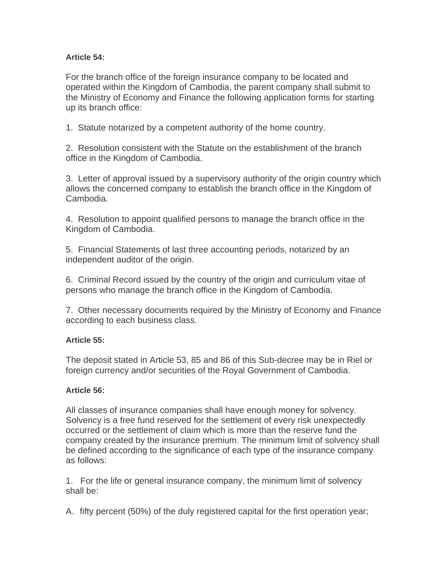# **Article 54:**

For the branch office of the foreign insurance company to be located and operated within the Kingdom of Cambodia, the parent company shall submit to the Ministry of Economy and Finance the following application forms for starting up its branch office:

1. Statute notarized by a competent authority of the home country.

2. Resolution consistent with the Statute on the establishment of the branch office in the Kingdom of Cambodia.

3. Letter of approval issued by a supervisory authority of the origin country which allows the concerned company to establish the branch office in the Kingdom of Cambodia.

4. Resolution to appoint qualified persons to manage the branch office in the Kingdom of Cambodia.

5. Financial Statements of last three accounting periods, notarized by an independent auditor of the origin.

6. Criminal Record issued by the country of the origin and curriculum vitae of persons who manage the branch office in the Kingdom of Cambodia.

7. Other necessary documents required by the Ministry of Economy and Finance according to each business class.

# **Article 55:**

The deposit stated in Article 53, 85 and 86 of this Sub-decree may be in Riel or foreign currency and/or securities of the Royal Government of Cambodia.

# **Article 56:**

All classes of insurance companies shall have enough money for solvency. Solvency is a free fund reserved for the settlement of every risk unexpectedly occurred or the settlement of claim which is more than the reserve fund the company created by the insurance premium. The minimum limit of solvency shall be defined according to the significance of each type of the insurance company as follows:

1. For the life or general insurance company, the minimum limit of solvency shall be:

A. fifty percent (50%) of the duly registered capital for the first operation year;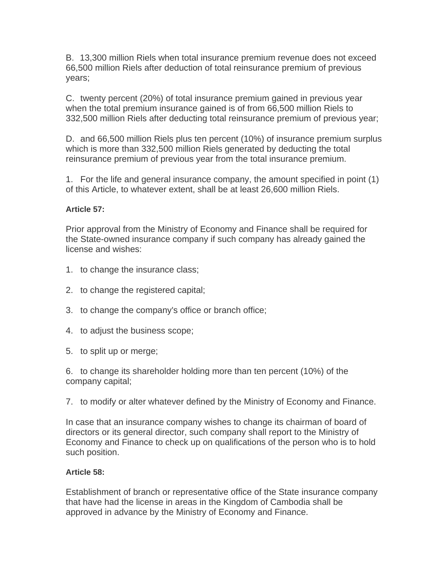B. 13,300 million Riels when total insurance premium revenue does not exceed 66,500 million Riels after deduction of total reinsurance premium of previous years;

C. twenty percent (20%) of total insurance premium gained in previous year when the total premium insurance gained is of from 66,500 million Riels to 332,500 million Riels after deducting total reinsurance premium of previous year;

D. and 66,500 million Riels plus ten percent (10%) of insurance premium surplus which is more than 332,500 million Riels generated by deducting the total reinsurance premium of previous year from the total insurance premium.

1. For the life and general insurance company, the amount specified in point (1) of this Article, to whatever extent, shall be at least 26,600 million Riels.

# **Article 57:**

Prior approval from the Ministry of Economy and Finance shall be required for the State-owned insurance company if such company has already gained the license and wishes:

- 1. to change the insurance class;
- 2. to change the registered capital;
- 3. to change the company's office or branch office;
- 4. to adjust the business scope;
- 5. to split up or merge;

6. to change its shareholder holding more than ten percent (10%) of the company capital;

7. to modify or alter whatever defined by the Ministry of Economy and Finance.

In case that an insurance company wishes to change its chairman of board of directors or its general director, such company shall report to the Ministry of Economy and Finance to check up on qualifications of the person who is to hold such position.

# **Article 58:**

Establishment of branch or representative office of the State insurance company that have had the license in areas in the Kingdom of Cambodia shall be approved in advance by the Ministry of Economy and Finance.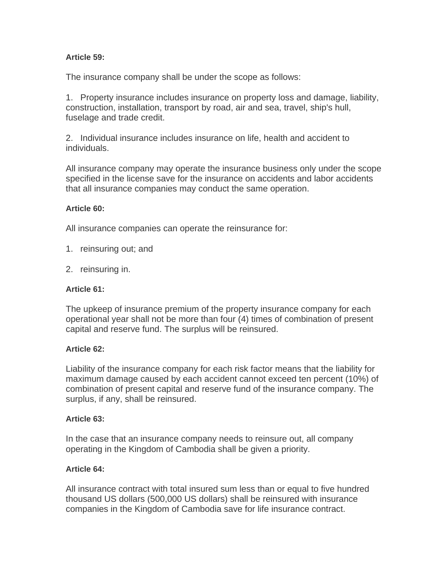## **Article 59:**

The insurance company shall be under the scope as follows:

1. Property insurance includes insurance on property loss and damage, liability, construction, installation, transport by road, air and sea, travel, ship's hull, fuselage and trade credit.

2. Individual insurance includes insurance on life, health and accident to individuals.

All insurance company may operate the insurance business only under the scope specified in the license save for the insurance on accidents and labor accidents that all insurance companies may conduct the same operation.

### **Article 60:**

All insurance companies can operate the reinsurance for:

- 1. reinsuring out; and
- 2. reinsuring in.

### **Article 61:**

The upkeep of insurance premium of the property insurance company for each operational year shall not be more than four (4) times of combination of present capital and reserve fund. The surplus will be reinsured.

### **Article 62:**

Liability of the insurance company for each risk factor means that the liability for maximum damage caused by each accident cannot exceed ten percent (10%) of combination of present capital and reserve fund of the insurance company. The surplus, if any, shall be reinsured.

### **Article 63:**

In the case that an insurance company needs to reinsure out, all company operating in the Kingdom of Cambodia shall be given a priority.

### **Article 64:**

All insurance contract with total insured sum less than or equal to five hundred thousand US dollars (500,000 US dollars) shall be reinsured with insurance companies in the Kingdom of Cambodia save for life insurance contract.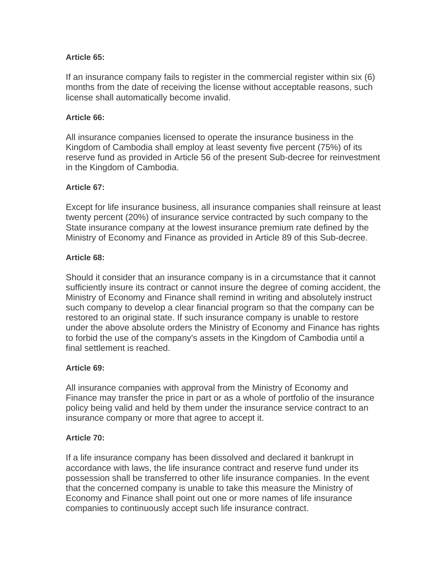## **Article 65:**

If an insurance company fails to register in the commercial register within six (6) months from the date of receiving the license without acceptable reasons, such license shall automatically become invalid.

### **Article 66:**

All insurance companies licensed to operate the insurance business in the Kingdom of Cambodia shall employ at least seventy five percent (75%) of its reserve fund as provided in Article 56 of the present Sub-decree for reinvestment in the Kingdom of Cambodia.

### **Article 67:**

Except for life insurance business, all insurance companies shall reinsure at least twenty percent (20%) of insurance service contracted by such company to the State insurance company at the lowest insurance premium rate defined by the Ministry of Economy and Finance as provided in Article 89 of this Sub-decree.

### **Article 68:**

Should it consider that an insurance company is in a circumstance that it cannot sufficiently insure its contract or cannot insure the degree of coming accident, the Ministry of Economy and Finance shall remind in writing and absolutely instruct such company to develop a clear financial program so that the company can be restored to an original state. If such insurance company is unable to restore under the above absolute orders the Ministry of Economy and Finance has rights to forbid the use of the company's assets in the Kingdom of Cambodia until a final settlement is reached.

### **Article 69:**

All insurance companies with approval from the Ministry of Economy and Finance may transfer the price in part or as a whole of portfolio of the insurance policy being valid and held by them under the insurance service contract to an insurance company or more that agree to accept it.

### **Article 70:**

If a life insurance company has been dissolved and declared it bankrupt in accordance with laws, the life insurance contract and reserve fund under its possession shall be transferred to other life insurance companies. In the event that the concerned company is unable to take this measure the Ministry of Economy and Finance shall point out one or more names of life insurance companies to continuously accept such life insurance contract.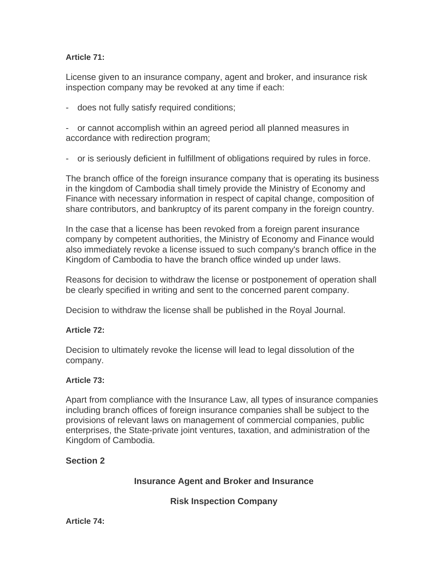# **Article 71:**

License given to an insurance company, agent and broker, and insurance risk inspection company may be revoked at any time if each:

- does not fully satisfy required conditions;

- or cannot accomplish within an agreed period all planned measures in accordance with redirection program;

- or is seriously deficient in fulfillment of obligations required by rules in force.

The branch office of the foreign insurance company that is operating its business in the kingdom of Cambodia shall timely provide the Ministry of Economy and Finance with necessary information in respect of capital change, composition of share contributors, and bankruptcy of its parent company in the foreign country.

In the case that a license has been revoked from a foreign parent insurance company by competent authorities, the Ministry of Economy and Finance would also immediately revoke a license issued to such company's branch office in the Kingdom of Cambodia to have the branch office winded up under laws.

Reasons for decision to withdraw the license or postponement of operation shall be clearly specified in writing and sent to the concerned parent company.

Decision to withdraw the license shall be published in the Royal Journal.

# **Article 72:**

Decision to ultimately revoke the license will lead to legal dissolution of the company.

# **Article 73:**

Apart from compliance with the Insurance Law, all types of insurance companies including branch offices of foreign insurance companies shall be subject to the provisions of relevant laws on management of commercial companies, public enterprises, the State-private joint ventures, taxation, and administration of the Kingdom of Cambodia.

# **Section 2**

# **Insurance Agent and Broker and Insurance**

**Risk Inspection Company**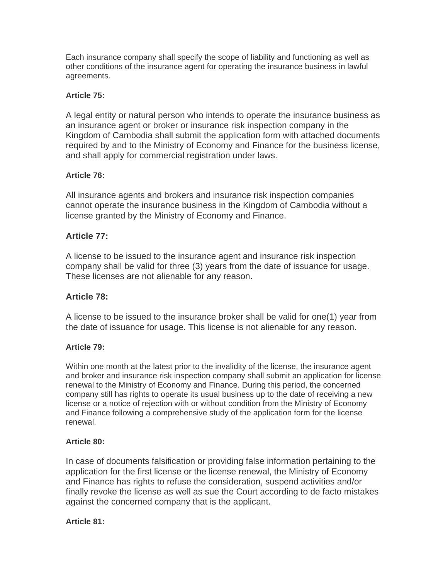Each insurance company shall specify the scope of liability and functioning as well as other conditions of the insurance agent for operating the insurance business in lawful agreements.

### **Article 75:**

A legal entity or natural person who intends to operate the insurance business as an insurance agent or broker or insurance risk inspection company in the Kingdom of Cambodia shall submit the application form with attached documents required by and to the Ministry of Economy and Finance for the business license, and shall apply for commercial registration under laws.

### **Article 76:**

All insurance agents and brokers and insurance risk inspection companies cannot operate the insurance business in the Kingdom of Cambodia without a license granted by the Ministry of Economy and Finance.

# **Article 77:**

A license to be issued to the insurance agent and insurance risk inspection company shall be valid for three (3) years from the date of issuance for usage. These licenses are not alienable for any reason.

# **Article 78:**

A license to be issued to the insurance broker shall be valid for one(1) year from the date of issuance for usage. This license is not alienable for any reason.

### **Article 79:**

Within one month at the latest prior to the invalidity of the license, the insurance agent and broker and insurance risk inspection company shall submit an application for license renewal to the Ministry of Economy and Finance. During this period, the concerned company still has rights to operate its usual business up to the date of receiving a new license or a notice of rejection with or without condition from the Ministry of Economy and Finance following a comprehensive study of the application form for the license renewal.

### **Article 80:**

In case of documents falsification or providing false information pertaining to the application for the first license or the license renewal, the Ministry of Economy and Finance has rights to refuse the consideration, suspend activities and/or finally revoke the license as well as sue the Court according to de facto mistakes against the concerned company that is the applicant.

### **Article 81:**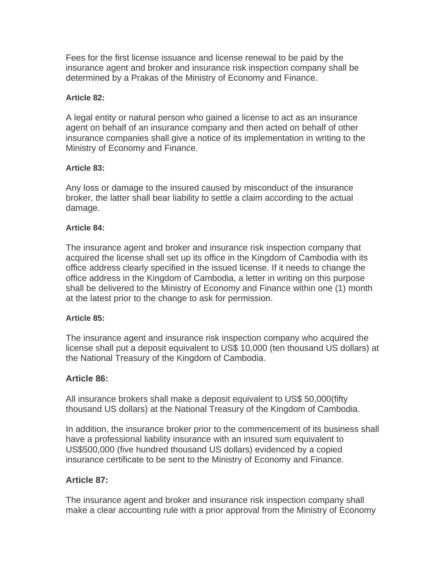Fees for the first license issuance and license renewal to be paid by the insurance agent and broker and insurance risk inspection company shall be determined by a Prakas of the Ministry of Economy and Finance.

### **Article 82:**

A legal entity or natural person who gained a license to act as an insurance agent on behalf of an insurance company and then acted on behalf of other insurance companies shall give a notice of its implementation in writing to the Ministry of Economy and Finance.

### **Article 83:**

Any loss or damage to the insured caused by misconduct of the insurance broker, the latter shall bear liability to settle a claim according to the actual damage.

### **Article 84:**

The insurance agent and broker and insurance risk inspection company that acquired the license shall set up its office in the Kingdom of Cambodia with its office address clearly specified in the issued license. If it needs to change the office address in the Kingdom of Cambodia, a letter in writing on this purpose shall be delivered to the Ministry of Economy and Finance within one (1) month at the latest prior to the change to ask for permission.

### **Article 85:**

The insurance agent and insurance risk inspection company who acquired the license shall put a deposit equivalent to US\$ 10,000 (ten thousand US dollars) at the National Treasury of the Kingdom of Cambodia.

# **Article 86:**

All insurance brokers shall make a deposit equivalent to US\$ 50,000(fifty thousand US dollars) at the National Treasury of the Kingdom of Cambodia.

In addition, the insurance broker prior to the commencement of its business shall have a professional liability insurance with an insured sum equivalent to US\$500,000 (five hundred thousand US dollars) evidenced by a copied insurance certificate to be sent to the Ministry of Economy and Finance.

# **Article 87:**

The insurance agent and broker and insurance risk inspection company shall make a clear accounting rule with a prior approval from the Ministry of Economy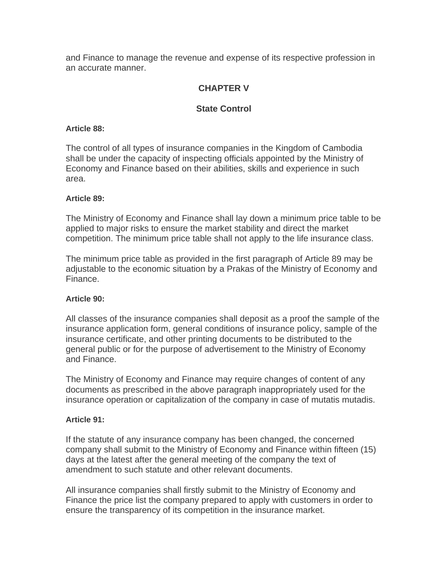and Finance to manage the revenue and expense of its respective profession in an accurate manner.

# **CHAPTER V**

# **State Control**

### **Article 88:**

The control of all types of insurance companies in the Kingdom of Cambodia shall be under the capacity of inspecting officials appointed by the Ministry of Economy and Finance based on their abilities, skills and experience in such area.

### **Article 89:**

The Ministry of Economy and Finance shall lay down a minimum price table to be applied to major risks to ensure the market stability and direct the market competition. The minimum price table shall not apply to the life insurance class.

The minimum price table as provided in the first paragraph of Article 89 may be adjustable to the economic situation by a Prakas of the Ministry of Economy and Finance.

### **Article 90:**

All classes of the insurance companies shall deposit as a proof the sample of the insurance application form, general conditions of insurance policy, sample of the insurance certificate, and other printing documents to be distributed to the general public or for the purpose of advertisement to the Ministry of Economy and Finance.

The Ministry of Economy and Finance may require changes of content of any documents as prescribed in the above paragraph inappropriately used for the insurance operation or capitalization of the company in case of mutatis mutadis.

### **Article 91:**

If the statute of any insurance company has been changed, the concerned company shall submit to the Ministry of Economy and Finance within fifteen (15) days at the latest after the general meeting of the company the text of amendment to such statute and other relevant documents.

All insurance companies shall firstly submit to the Ministry of Economy and Finance the price list the company prepared to apply with customers in order to ensure the transparency of its competition in the insurance market.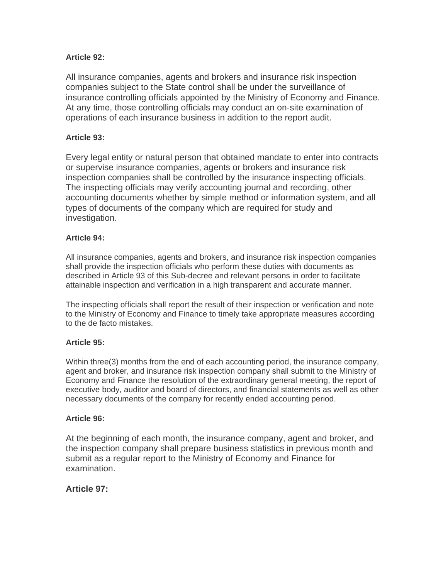## **Article 92:**

All insurance companies, agents and brokers and insurance risk inspection companies subject to the State control shall be under the surveillance of insurance controlling officials appointed by the Ministry of Economy and Finance. At any time, those controlling officials may conduct an on-site examination of operations of each insurance business in addition to the report audit.

### **Article 93:**

Every legal entity or natural person that obtained mandate to enter into contracts or supervise insurance companies, agents or brokers and insurance risk inspection companies shall be controlled by the insurance inspecting officials. The inspecting officials may verify accounting journal and recording, other accounting documents whether by simple method or information system, and all types of documents of the company which are required for study and investigation.

### **Article 94:**

All insurance companies, agents and brokers, and insurance risk inspection companies shall provide the inspection officials who perform these duties with documents as described in Article 93 of this Sub-decree and relevant persons in order to facilitate attainable inspection and verification in a high transparent and accurate manner.

The inspecting officials shall report the result of their inspection or verification and note to the Ministry of Economy and Finance to timely take appropriate measures according to the de facto mistakes.

### **Article 95:**

Within three(3) months from the end of each accounting period, the insurance company, agent and broker, and insurance risk inspection company shall submit to the Ministry of Economy and Finance the resolution of the extraordinary general meeting, the report of executive body, auditor and board of directors, and financial statements as well as other necessary documents of the company for recently ended accounting period.

### **Article 96:**

At the beginning of each month, the insurance company, agent and broker, and the inspection company shall prepare business statistics in previous month and submit as a regular report to the Ministry of Economy and Finance for examination.

# **Article 97:**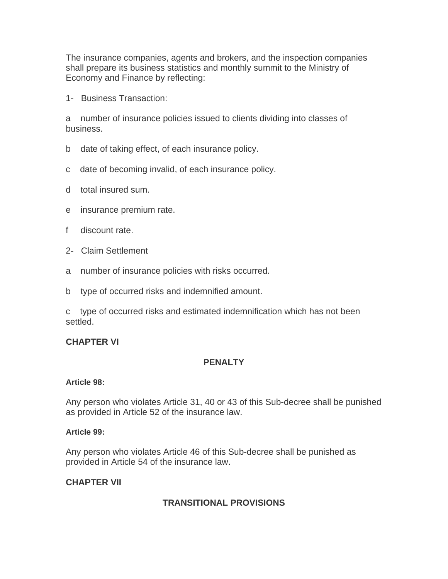The insurance companies, agents and brokers, and the inspection companies shall prepare its business statistics and monthly summit to the Ministry of Economy and Finance by reflecting:

1- Business Transaction:

a number of insurance policies issued to clients dividing into classes of business.

- b date of taking effect, of each insurance policy.
- c date of becoming invalid, of each insurance policy.
- d total insured sum.
- e insurance premium rate.
- f discount rate.
- 2- Claim Settlement
- a number of insurance policies with risks occurred.
- b type of occurred risks and indemnified amount.

c type of occurred risks and estimated indemnification which has not been settled.

# **CHAPTER VI**

# **PENALTY**

### **Article 98:**

Any person who violates Article 31, 40 or 43 of this Sub-decree shall be punished as provided in Article 52 of the insurance law.

### **Article 99:**

Any person who violates Article 46 of this Sub-decree shall be punished as provided in Article 54 of the insurance law.

# **CHAPTER VII**

# **TRANSITIONAL PROVISIONS**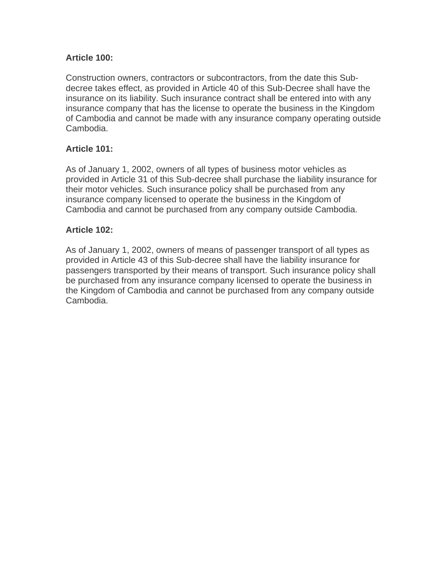# **Article 100:**

Construction owners, contractors or subcontractors, from the date this Subdecree takes effect, as provided in Article 40 of this Sub-Decree shall have the insurance on its liability. Such insurance contract shall be entered into with any insurance company that has the license to operate the business in the Kingdom of Cambodia and cannot be made with any insurance company operating outside Cambodia.

# **Article 101:**

As of January 1, 2002, owners of all types of business motor vehicles as provided in Article 31 of this Sub-decree shall purchase the liability insurance for their motor vehicles. Such insurance policy shall be purchased from any insurance company licensed to operate the business in the Kingdom of Cambodia and cannot be purchased from any company outside Cambodia.

# **Article 102:**

As of January 1, 2002, owners of means of passenger transport of all types as provided in Article 43 of this Sub-decree shall have the liability insurance for passengers transported by their means of transport. Such insurance policy shall be purchased from any insurance company licensed to operate the business in the Kingdom of Cambodia and cannot be purchased from any company outside Cambodia.